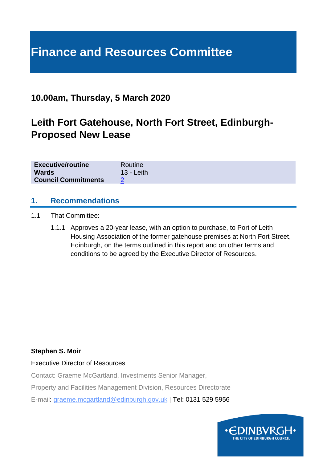# **Finance and Resources Committee**

# **10.00am, Thursday, 5 March 2020**

# **Leith Fort Gatehouse, North Fort Street, Edinburgh-Proposed New Lease**

| <b>Executive/routine</b>   | Routine      |
|----------------------------|--------------|
| <b>Wards</b>               | $13 - Leith$ |
| <b>Council Commitments</b> |              |

#### **1. Recommendations**

- 1.1 That Committee:
	- 1.1.1 Approves a 20-year lease, with an option to purchase, to Port of Leith Housing Association of the former gatehouse premises at North Fort Street, Edinburgh, on the terms outlined in this report and on other terms and conditions to be agreed by the Executive Director of Resources.

#### **Stephen S. Moir**

Executive Director of Resources

Contact: Graeme McGartland, Investments Senior Manager,

Property and Facilities Management Division, Resources Directorate

E-mail: graeme.mcgartland@edinburgh.gov.uk | Tel: 0131 529 5956

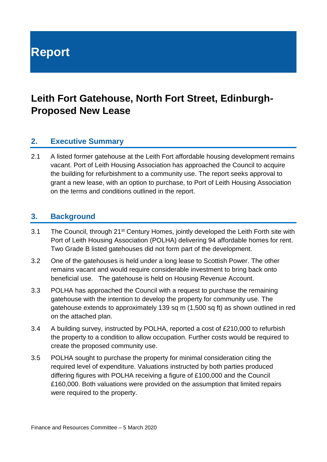# **Report**

# **Leith Fort Gatehouse, North Fort Street, Edinburgh-Proposed New Lease**

## **2. Executive Summary**

2.1 A listed former gatehouse at the Leith Fort affordable housing development remains vacant. Port of Leith Housing Association has approached the Council to acquire the building for refurbishment to a community use. The report seeks approval to grant a new lease, with an option to purchase, to Port of Leith Housing Association on the terms and conditions outlined in the report.

#### **3. Background**

- 3.1 The Council, through 21<sup>st</sup> Century Homes, jointly developed the Leith Forth site with Port of Leith Housing Association (POLHA) delivering 94 affordable homes for rent. Two Grade B listed gatehouses did not form part of the development.
- 3.2 One of the gatehouses is held under a long lease to Scottish Power. The other remains vacant and would require considerable investment to bring back onto beneficial use. The gatehouse is held on Housing Revenue Account.
- 3.3 POLHA has approached the Council with a request to purchase the remaining gatehouse with the intention to develop the property for community use. The gatehouse extends to approximately 139 sq m (1,500 sq ft) as shown outlined in red on the attached plan.
- 3.4 A building survey, instructed by POLHA, reported a cost of £210,000 to refurbish the property to a condition to allow occupation. Further costs would be required to create the proposed community use.
- 3.5 POLHA sought to purchase the property for minimal consideration citing the required level of expenditure. Valuations instructed by both parties produced differing figures with POLHA receiving a figure of £100,000 and the Council £160,000. Both valuations were provided on the assumption that limited repairs were required to the property.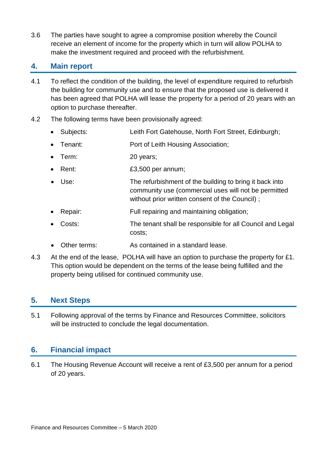3.6 The parties have sought to agree a compromise position whereby the Council receive an element of income for the property which in turn will allow POLHA to make the investment required and proceed with the refurbishment.

### **4. Main report**

- 4.1 To reflect the condition of the building, the level of expenditure required to refurbish the building for community use and to ensure that the proposed use is delivered it has been agreed that POLHA will lease the property for a period of 20 years with an option to purchase thereafter.
- 4.2 The following terms have been provisionally agreed:
	- Subjects: Leith Fort Gatehouse, North Fort Street, Edinburgh;
	- Tenant: Port of Leith Housing Association;
	- Term: 20 years;
	- Rent: E3,500 per annum;
	- Use: The refurbishment of the building to bring it back into community use (commercial uses will not be permitted without prior written consent of the Council) ;
	- Repair: Full repairing and maintaining obligation;
	- Costs: The tenant shall be responsible for all Council and Legal costs;
	- Other terms: As contained in a standard lease.
- 4.3 At the end of the lease. POLHA will have an option to purchase the property for £1. This option would be dependent on the terms of the lease being fulfilled and the property being utilised for continued community use.

## **5. Next Steps**

5.1 Following approval of the terms by Finance and Resources Committee, solicitors will be instructed to conclude the legal documentation.

## **6. Financial impact**

6.1 The Housing Revenue Account will receive a rent of £3,500 per annum for a period of 20 years.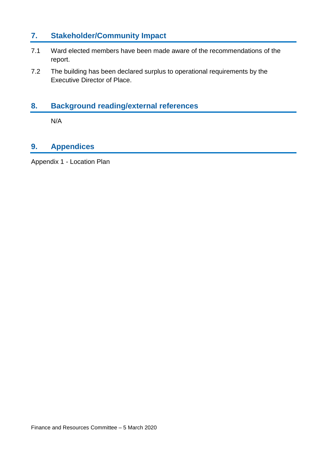# **7. Stakeholder/Community Impact**

- 7.1 Ward elected members have been made aware of the recommendations of the report.
- 7.2 The building has been declared surplus to operational requirements by the Executive Director of Place.

# **8. Background reading/external references**

N/A

# **9. Appendices**

Appendix 1 - Location Plan